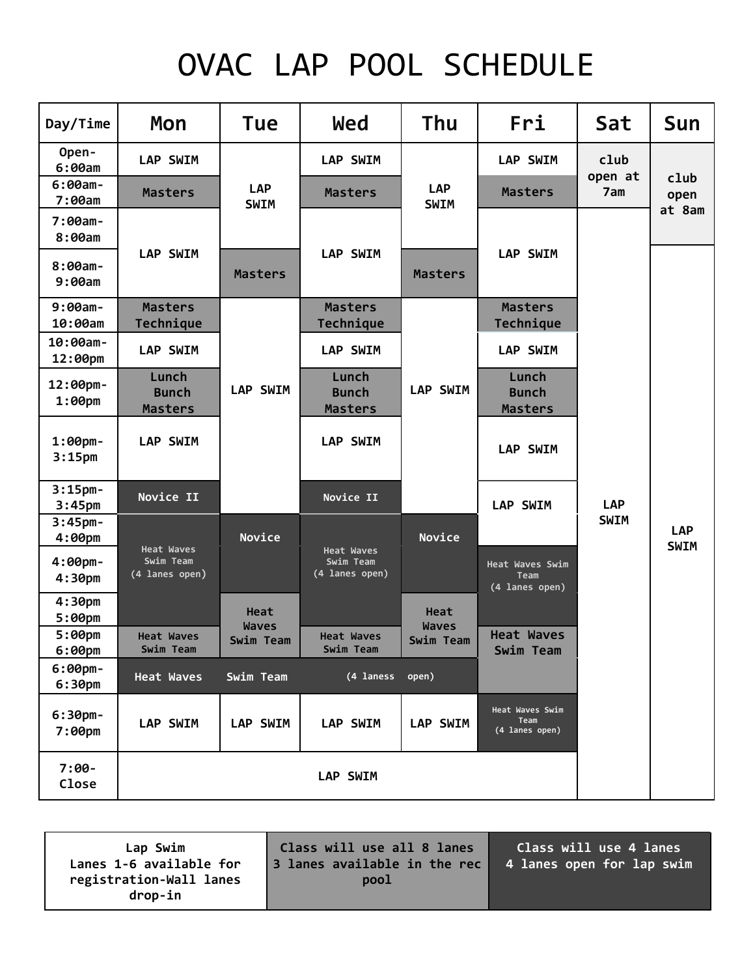# OVAC LAP POOL SCHEDULE

| Day/Time                               | Mon                                     | Tue                       | Wed                                              | <b>Thu</b>                | <b>Fri</b>                                | Sat             | Sun                       |
|----------------------------------------|-----------------------------------------|---------------------------|--------------------------------------------------|---------------------------|-------------------------------------------|-----------------|---------------------------|
| Open-<br>6:00am                        | <b>LAP SWIM</b>                         |                           | <b>LAP SWIM</b>                                  |                           | <b>LAP SWIM</b>                           | club<br>open at |                           |
| $6:00am -$<br>7:00am                   | <b>Masters</b>                          | <b>LAP</b><br><b>SWIM</b> | <b>Masters</b>                                   | <b>LAP</b><br><b>SWIM</b> | <b>Masters</b>                            | 7am             | club<br>open<br>at 8am    |
| $7:00am -$<br>8:00am                   |                                         |                           |                                                  |                           |                                           |                 |                           |
| $8:00am -$<br>9:00am                   | <b>LAP SWIM</b>                         | <b>Masters</b>            | <b>LAP SWIM</b>                                  | <b>Masters</b>            | <b>LAP SWIM</b>                           |                 |                           |
| $9:00am -$<br>10:00am                  | <b>Masters</b><br>Technique             |                           | <b>Masters</b><br>Technique                      |                           | <b>Masters</b><br>Technique               |                 |                           |
| $10:00am -$<br>12:00pm                 | <b>LAP SWIM</b>                         |                           | <b>LAP SWIM</b>                                  |                           | <b>LAP SWIM</b>                           |                 |                           |
| 12:00pm-<br>$1:00$ pm                  | Lunch<br><b>Bunch</b><br><b>Masters</b> | <b>LAP SWIM</b>           | Lunch<br><b>Bunch</b><br><b>Masters</b>          | <b>LAP SWIM</b>           | Lunch<br><b>Bunch</b><br><b>Masters</b>   |                 |                           |
| $1:00$ pm-<br>3:15 <sub>pm</sub>       | LAP SWIM                                |                           | <b>LAP SWIM</b>                                  |                           | <b>LAP SWIM</b>                           |                 |                           |
| $3:15$ pm-<br>3:45 <sub>pm</sub>       | Novice II                               |                           | Novice II                                        |                           | <b>LAP SWIM</b>                           | <b>LAP</b>      |                           |
| $3:45$ pm-<br>4:00pm                   | <b>Heat Waves</b>                       | Novice                    |                                                  | Novice                    |                                           | <b>SWIM</b>     | <b>LAP</b><br><b>SWIM</b> |
| $4:00 \text{pm}$<br>4:30 <sub>pm</sub> | Swim Team<br>(4 lanes open)             |                           | <b>Heat Waves</b><br>Swim Team<br>(4 lanes open) |                           | Heat Waves Swim<br>Team<br>(4 lanes open) |                 |                           |
| 4:30 <sub>pm</sub><br>$5:00 \text{pm}$ |                                         | Heat                      |                                                  | Heat                      |                                           |                 |                           |
| $5:00$ pm<br>6:00 <sub>pm</sub>        | <b>Heat Waves</b><br>Swim Team          | <b>Waves</b><br>Swim Team | <b>Heat Waves</b><br>Swim Team                   | <b>Waves</b><br>Swim Team | <b>Heat Waves</b><br>Swim Team            |                 |                           |
| $6:00$ pm-<br>6:30 <sub>pm</sub>       | <b>Heat Waves</b>                       | Swim Team                 | (4 laness                                        | open)                     |                                           |                 |                           |
| $6:30$ pm-<br>$7:00$ pm                | LAP SWIM                                | LAP SWIM                  | LAP SWIM                                         | <b>LAP SWIM</b>           | Heat Waves Swim<br>Team<br>(4 lanes open) |                 |                           |
| $7:00-$<br>Close                       | <b>LAP SWIM</b>                         |                           |                                                  |                           |                                           |                 |                           |

**Lap Swim Lanes 1-6 available for registration-Wall lanes drop-in Class will use all 8 lanes 3 lanes available in the rec pool Class will use 4 lanes 4 lanes open for lap swim**